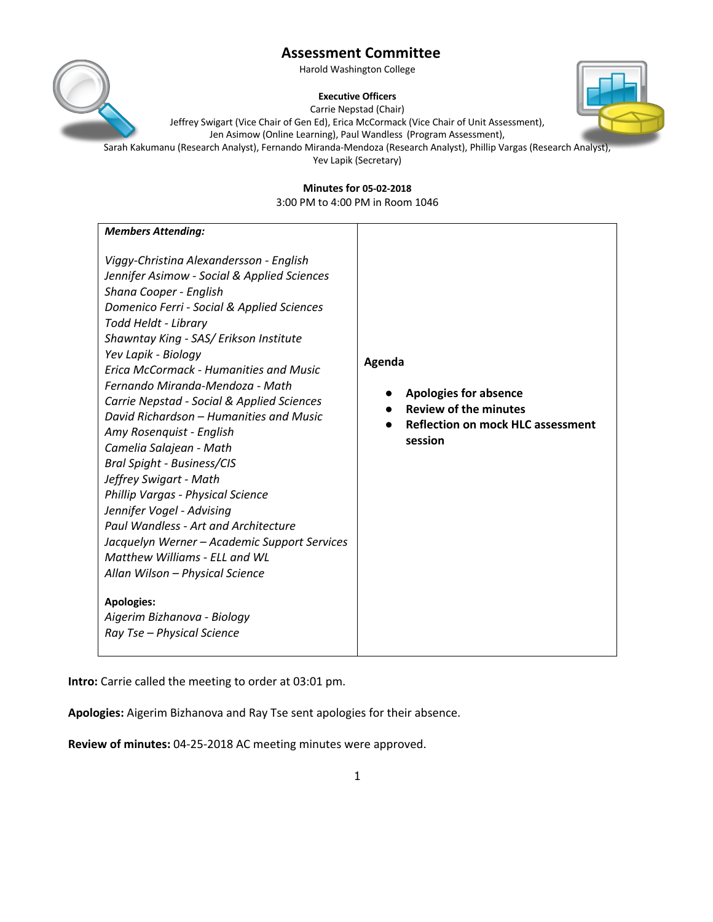Harold Washington College

#### **Executive Officers**



Carrie Nepstad (Chair) Jeffrey Swigart (Vice Chair of Gen Ed), Erica McCormack (Vice Chair of Unit Assessment), Jen Asimow (Online Learning), Paul Wandless (Program Assessment),

Sarah Kakumanu (Research Analyst), Fernando Miranda-Mendoza (Research Analyst), Phillip Vargas (Research Analyst),

Yev Lapik (Secretary)

**Minutes for 05-02-2018**

3:00 PM to 4:00 PM in Room 1046

| <b>Members Attending:</b>                                                                                                                                                                                                                                                                                                                                                                                                                                                                                                                                                                                                                                                                                                                                                                                                                                           |                                                                                                                               |
|---------------------------------------------------------------------------------------------------------------------------------------------------------------------------------------------------------------------------------------------------------------------------------------------------------------------------------------------------------------------------------------------------------------------------------------------------------------------------------------------------------------------------------------------------------------------------------------------------------------------------------------------------------------------------------------------------------------------------------------------------------------------------------------------------------------------------------------------------------------------|-------------------------------------------------------------------------------------------------------------------------------|
| Viggy-Christina Alexandersson - English<br>Jennifer Asimow - Social & Applied Sciences<br>Shana Cooper - English<br>Domenico Ferri - Social & Applied Sciences<br>Todd Heldt - Library<br>Shawntay King - SAS/ Erikson Institute<br>Yev Lapik - Biology<br><b>Erica McCormack - Humanities and Music</b><br>Fernando Miranda-Mendoza - Math<br>Carrie Nepstad - Social & Applied Sciences<br>David Richardson – Humanities and Music<br>Amy Rosenquist - English<br>Camelia Salajean - Math<br>Bral Spight - Business/CIS<br>Jeffrey Swigart - Math<br>Phillip Vargas - Physical Science<br>Jennifer Vogel - Advising<br>Paul Wandless - Art and Architecture<br>Jacquelyn Werner - Academic Support Services<br>Matthew Williams - ELL and WL<br>Allan Wilson - Physical Science<br><b>Apologies:</b><br>Aigerim Bizhanova - Biology<br>Ray Tse - Physical Science | Agenda<br><b>Apologies for absence</b><br><b>Review of the minutes</b><br><b>Reflection on mock HLC assessment</b><br>session |

**Intro:** Carrie called the meeting to order at 03:01 pm.

**Apologies:** Aigerim Bizhanova and Ray Tse sent apologies for their absence.

**Review of minutes:** 04-25-2018 AC meeting minutes were approved.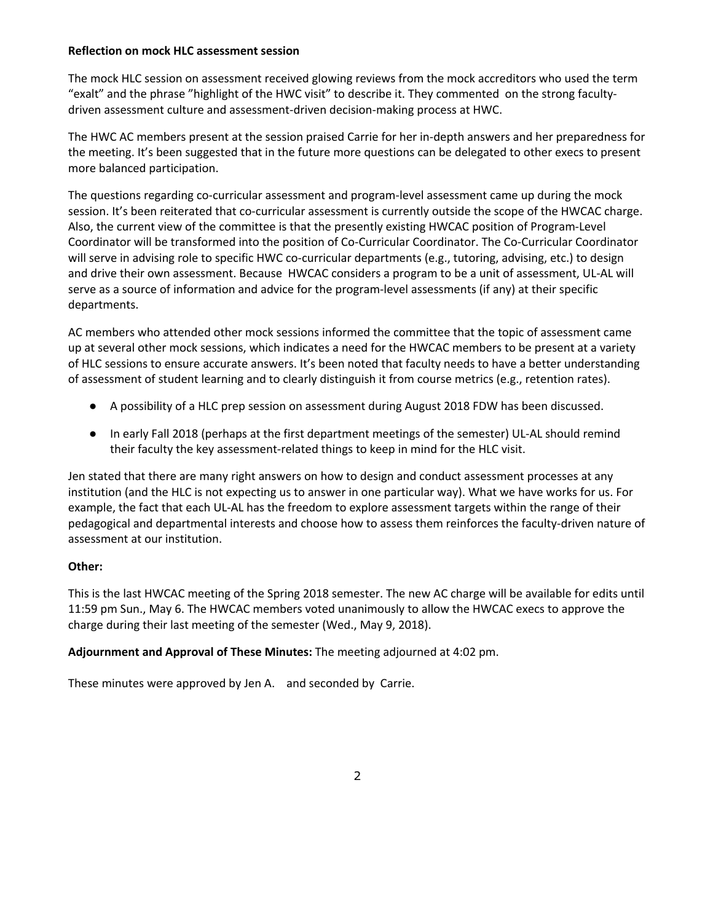#### **Reflection on mock HLC assessment session**

The mock HLC session on assessment received glowing reviews from the mock accreditors who used the term "exalt" and the phrase "highlight of the HWC visit" to describe it. They commented on the strong facultydriven assessment culture and assessment-driven decision-making process at HWC.

The HWC AC members present at the session praised Carrie for her in-depth answers and her preparedness for the meeting. It's been suggested that in the future more questions can be delegated to other execs to present more balanced participation.

The questions regarding co-curricular assessment and program-level assessment came up during the mock session. It's been reiterated that co-curricular assessment is currently outside the scope of the HWCAC charge. Also, the current view of the committee is that the presently existing HWCAC position of Program-Level Coordinator will be transformed into the position of Co-Curricular Coordinator. The Co-Curricular Coordinator will serve in advising role to specific HWC co-curricular departments (e.g., tutoring, advising, etc.) to design and drive their own assessment. Because HWCAC considers a program to be a unit of assessment, UL-AL will serve as a source of information and advice for the program-level assessments (if any) at their specific departments.

AC members who attended other mock sessions informed the committee that the topic of assessment came up at several other mock sessions, which indicates a need for the HWCAC members to be present at a variety of HLC sessions to ensure accurate answers. It's been noted that faculty needs to have a better understanding of assessment of student learning and to clearly distinguish it from course metrics (e.g., retention rates).

- A possibility of a HLC prep session on assessment during August 2018 FDW has been discussed.
- In early Fall 2018 (perhaps at the first department meetings of the semester) UL-AL should remind their faculty the key assessment-related things to keep in mind for the HLC visit.

Jen stated that there are many right answers on how to design and conduct assessment processes at any institution (and the HLC is not expecting us to answer in one particular way). What we have works for us. For example, the fact that each UL-AL has the freedom to explore assessment targets within the range of their pedagogical and departmental interests and choose how to assess them reinforces the faculty-driven nature of assessment at our institution.

#### **Other:**

This is the last HWCAC meeting of the Spring 2018 semester. The new AC charge will be available for edits until 11:59 pm Sun., May 6. The HWCAC members voted unanimously to allow the HWCAC execs to approve the charge during their last meeting of the semester (Wed., May 9, 2018).

#### **Adjournment and Approval of These Minutes:** The meeting adjourned at 4:02 pm.

These minutes were approved by Jen A. and seconded by Carrie.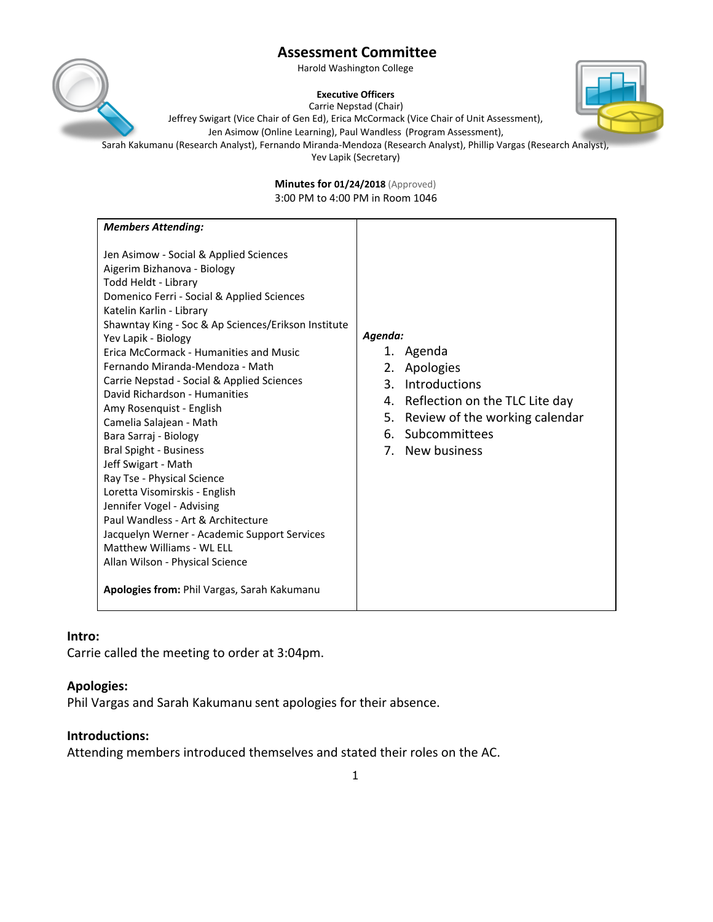Harold Washington College

**Executive Officers**



Carrie Nepstad (Chair) Jeffrey Swigart (Vice Chair of Gen Ed), Erica McCormack (Vice Chair of Unit Assessment), Jen Asimow (Online Learning), Paul Wandless (Program Assessment), Sarah Kakumanu (Research Analyst), Fernando Miranda-Mendoza (Research Analyst), Phillip Vargas (Research Analyst),

Yev Lapik (Secretary)

**Minutes for 01/24/2018** (Approved) 3:00 PM to 4:00 PM in Room 1046

| <b>Members Attending:</b>                                                                                                                                                                                                                                                                                                                                                                                                                                                                                                                                                                                                                                                                                                                                                                                                                                  |                                                                                                                                                                           |
|------------------------------------------------------------------------------------------------------------------------------------------------------------------------------------------------------------------------------------------------------------------------------------------------------------------------------------------------------------------------------------------------------------------------------------------------------------------------------------------------------------------------------------------------------------------------------------------------------------------------------------------------------------------------------------------------------------------------------------------------------------------------------------------------------------------------------------------------------------|---------------------------------------------------------------------------------------------------------------------------------------------------------------------------|
| Jen Asimow - Social & Applied Sciences<br>Aigerim Bizhanova - Biology<br>Todd Heldt - Library<br>Domenico Ferri - Social & Applied Sciences<br>Katelin Karlin - Library<br>Shawntay King - Soc & Ap Sciences/Erikson Institute<br>Yev Lapik - Biology<br>Erica McCormack - Humanities and Music<br>Fernando Miranda-Mendoza - Math<br>Carrie Nepstad - Social & Applied Sciences<br>David Richardson - Humanities<br>Amy Rosenquist - English<br>Camelia Salajean - Math<br>Bara Sarraj - Biology<br><b>Bral Spight - Business</b><br>Jeff Swigart - Math<br>Ray Tse - Physical Science<br>Loretta Visomirskis - English<br>Jennifer Vogel - Advising<br>Paul Wandless - Art & Architecture<br>Jacquelyn Werner - Academic Support Services<br>Matthew Williams - WL ELL<br>Allan Wilson - Physical Science<br>Apologies from: Phil Vargas, Sarah Kakumanu | Agenda:<br>1. Agenda<br>2. Apologies<br>3. Introductions<br>4. Reflection on the TLC Lite day<br>5. Review of the working calendar<br>6. Subcommittees<br>7. New business |

# **Intro:**

Carrie called the meeting to order at 3:04pm.

## **Apologies:**

Phil Vargas and Sarah Kakumanu sent apologies for their absence.

#### **Introductions:**

Attending members introduced themselves and stated their roles on the AC.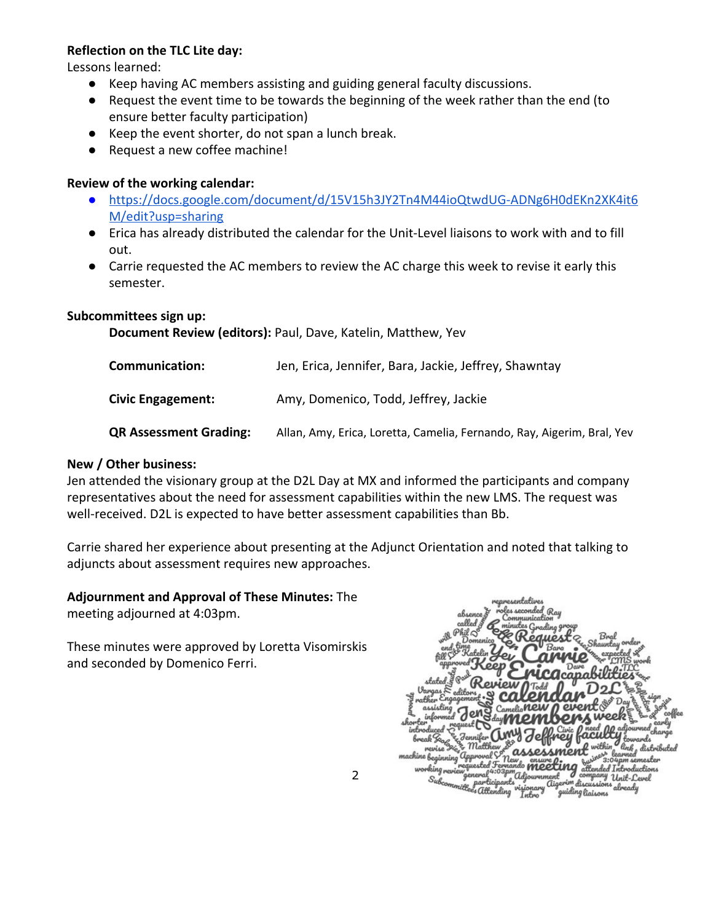## **Reflection on the TLC Lite day:**

Lessons learned:

- Keep having AC members assisting and guiding general faculty discussions.
- Request the event time to be towards the beginning of the week rather than the end (to ensure better faculty participation)
- Keep the event shorter, do not span a lunch break.
- Request a new coffee machine!

# **Review of the working calendar:**

- [https://docs.google.com/document/d/15V15h3JY2Tn4M44ioQtwdUG-ADNg6H0dEKn2XK4it6](https://docs.google.com/document/d/15V15h3JY2Tn4M44ioQtwdUG-ADNg6H0dEKn2XK4it6M/edit?usp=sharing) [M/edit?usp=sharing](https://docs.google.com/document/d/15V15h3JY2Tn4M44ioQtwdUG-ADNg6H0dEKn2XK4it6M/edit?usp=sharing)
- Erica has already distributed the calendar for the Unit-Level liaisons to work with and to fill out.
- Carrie requested the AC members to review the AC charge this week to revise it early this semester.

## **Subcommittees sign up:**

**Document Review (editors):** Paul, Dave, Katelin, Matthew, Yev

| Communication:                | Jen, Erica, Jennifer, Bara, Jackie, Jeffrey, Shawntay                  |
|-------------------------------|------------------------------------------------------------------------|
| <b>Civic Engagement:</b>      | Amy, Domenico, Todd, Jeffrey, Jackie                                   |
| <b>QR Assessment Grading:</b> | Allan, Amy, Erica, Loretta, Camelia, Fernando, Ray, Aigerim, Bral, Yev |

## **New / Other business:**

Jen attended the visionary group at the D2L Day at MX and informed the participants and company representatives about the need for assessment capabilities within the new LMS. The request was well-received. D2L is expected to have better assessment capabilities than Bb.

Carrie shared her experience about presenting at the Adjunct Orientation and noted that talking to adjuncts about assessment requires new approaches.

# **Adjournment and Approval of These Minutes:** The

meeting adjourned at 4:03pm.

These minutes were approved by Loretta Visomirskis and seconded by Domenico Ferri.

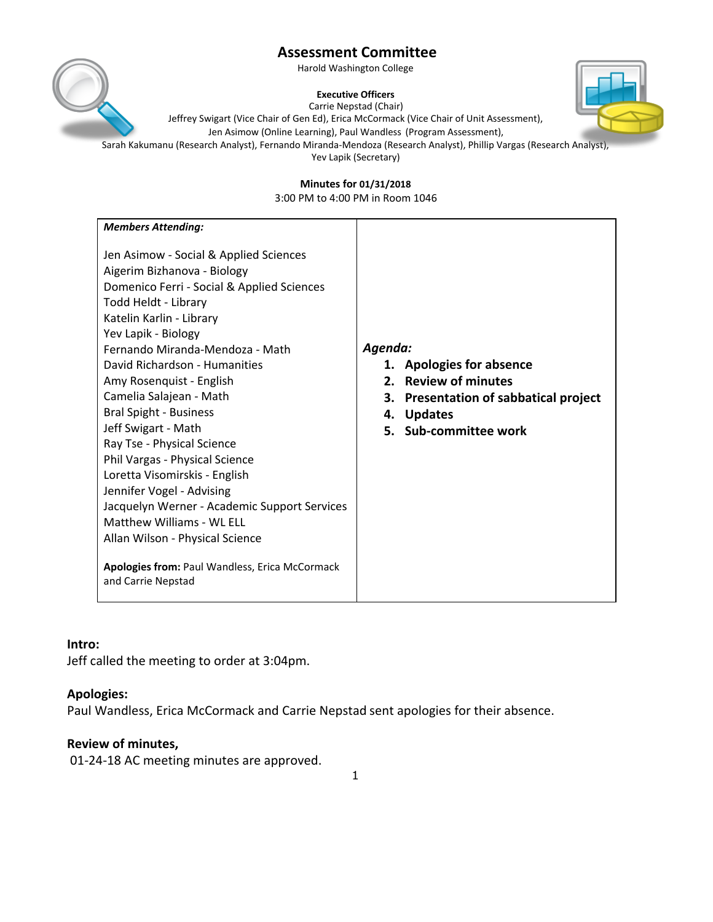Harold Washington College

**Executive Officers**



Carrie Nepstad (Chair) Jeffrey Swigart (Vice Chair of Gen Ed), Erica McCormack (Vice Chair of Unit Assessment), Jen Asimow (Online Learning), Paul Wandless (Program Assessment), Sarah Kakumanu (Research Analyst), Fernando Miranda-Mendoza (Research Analyst), Phillip Vargas (Research Analyst),

Yev Lapik (Secretary)

**Minutes for 01/31/2018**

3:00 PM to 4:00 PM in Room 1046

| <b>Members Attending:</b>                                                                                                                                                                                                                                                                                                                                                                                                                                                                                                                                                                                                                                                                                      |                                                                                                                                             |
|----------------------------------------------------------------------------------------------------------------------------------------------------------------------------------------------------------------------------------------------------------------------------------------------------------------------------------------------------------------------------------------------------------------------------------------------------------------------------------------------------------------------------------------------------------------------------------------------------------------------------------------------------------------------------------------------------------------|---------------------------------------------------------------------------------------------------------------------------------------------|
| Jen Asimow - Social & Applied Sciences<br>Aigerim Bizhanova - Biology<br>Domenico Ferri - Social & Applied Sciences<br>Todd Heldt - Library<br>Katelin Karlin - Library<br>Yev Lapik - Biology<br>Fernando Miranda-Mendoza - Math<br>David Richardson - Humanities<br>Amy Rosenquist - English<br>Camelia Salajean - Math<br><b>Bral Spight - Business</b><br>Jeff Swigart - Math<br>Ray Tse - Physical Science<br>Phil Vargas - Physical Science<br>Loretta Visomirskis - English<br>Jennifer Vogel - Advising<br>Jacquelyn Werner - Academic Support Services<br>Matthew Williams - WL FLL<br>Allan Wilson - Physical Science<br><b>Apologies from: Paul Wandless, Erica McCormack</b><br>and Carrie Nepstad | Agenda:<br>1. Apologies for absence<br>2. Review of minutes<br>3. Presentation of sabbatical project<br>4. Updates<br>5. Sub-committee work |

#### **Intro:**

Jeff called the meeting to order at 3:04pm.

## **Apologies:**

Paul Wandless, Erica McCormack and Carrie Nepstad sent apologies for their absence.

## **Review of minutes,**

01-24-18 AC meeting minutes are approved.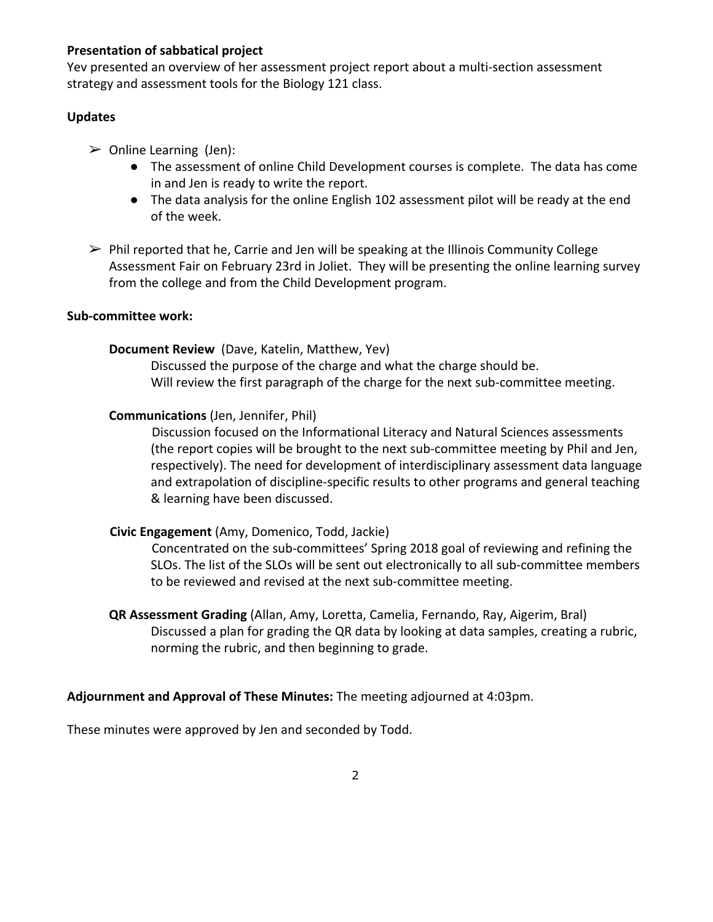## **Presentation of sabbatical project**

Yev presented an overview of her assessment project report about a multi-section assessment strategy and assessment tools for the Biology 121 class.

## **Updates**

- $\triangleright$  Online Learning (Jen):
	- The assessment of online Child Development courses is complete. The data has come in and Jen is ready to write the report.
	- The data analysis for the online English 102 assessment pilot will be ready at the end of the week.
- $\triangleright$  Phil reported that he, Carrie and Jen will be speaking at the Illinois Community College Assessment Fair on February 23rd in Joliet. They will be presenting the online learning survey from the college and from the Child Development program.

## **Sub-committee work:**

## **Document Review** (Dave, Katelin, Matthew, Yev)

Discussed the purpose of the charge and what the charge should be. Will review the first paragraph of the charge for the next sub-committee meeting.

#### **Communications** (Jen, Jennifer, Phil)

Discussion focused on the Informational Literacy and Natural Sciences assessments (the report copies will be brought to the next sub-committee meeting by Phil and Jen, respectively). The need for development of interdisciplinary assessment data language and extrapolation of discipline-specific results to other programs and general teaching & learning have been discussed.

## **Civic Engagement** (Amy, Domenico, Todd, Jackie)

Concentrated on the sub-committees' Spring 2018 goal of reviewing and refining the SLOs. The list of the SLOs will be sent out electronically to all sub-committee members to be reviewed and revised at the next sub-committee meeting.

**QR Assessment Grading** (Allan, Amy, Loretta, Camelia, Fernando, Ray, Aigerim, Bral) Discussed a plan for grading the QR data by looking at data samples, creating a rubric, norming the rubric, and then beginning to grade.

## **Adjournment and Approval of These Minutes:** The meeting adjourned at 4:03pm.

These minutes were approved by Jen and seconded by Todd.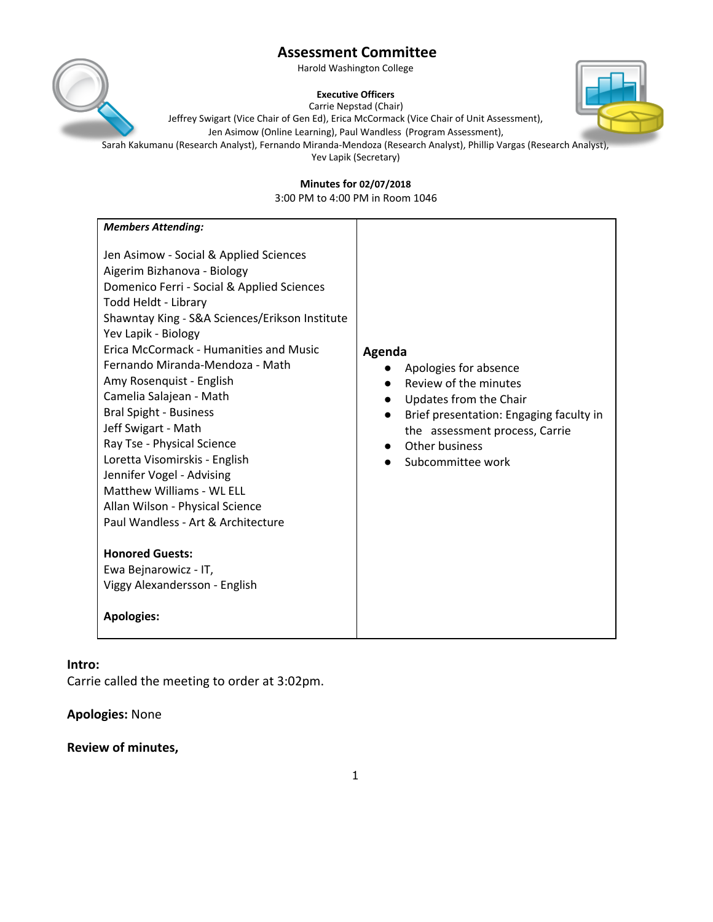Harold Washington College

**Executive Officers**



Carrie Nepstad (Chair) Jeffrey Swigart (Vice Chair of Gen Ed), Erica McCormack (Vice Chair of Unit Assessment), Jen Asimow (Online Learning), Paul Wandless (Program Assessment), Sarah Kakumanu (Research Analyst), Fernando Miranda-Mendoza (Research Analyst), Phillip Vargas (Research Analyst),

Yev Lapik (Secretary)

**Minutes for 02/07/2018**

3:00 PM to 4:00 PM in Room 1046

| <b>Members Attending:</b>                                                                                                                                                                                                                                                                                                                                                                                                                                                                                                                                                                                          |                                                                                                                                                                                                                                               |
|--------------------------------------------------------------------------------------------------------------------------------------------------------------------------------------------------------------------------------------------------------------------------------------------------------------------------------------------------------------------------------------------------------------------------------------------------------------------------------------------------------------------------------------------------------------------------------------------------------------------|-----------------------------------------------------------------------------------------------------------------------------------------------------------------------------------------------------------------------------------------------|
| Jen Asimow - Social & Applied Sciences<br>Aigerim Bizhanova - Biology<br>Domenico Ferri - Social & Applied Sciences<br>Todd Heldt - Library<br>Shawntay King - S&A Sciences/Erikson Institute<br>Yev Lapik - Biology<br>Erica McCormack - Humanities and Music<br>Fernando Miranda-Mendoza - Math<br>Amy Rosenquist - English<br>Camelia Salajean - Math<br><b>Bral Spight - Business</b><br>Jeff Swigart - Math<br>Ray Tse - Physical Science<br>Loretta Visomirskis - English<br>Jennifer Vogel - Advising<br>Matthew Williams - WL FLL<br>Allan Wilson - Physical Science<br>Paul Wandless - Art & Architecture | Agenda<br>Apologies for absence<br>Review of the minutes<br>$\bullet$<br>Updates from the Chair<br>$\bullet$<br>Brief presentation: Engaging faculty in<br>$\bullet$<br>the assessment process, Carrie<br>Other business<br>Subcommittee work |
| <b>Honored Guests:</b><br>Ewa Bejnarowicz - IT,                                                                                                                                                                                                                                                                                                                                                                                                                                                                                                                                                                    |                                                                                                                                                                                                                                               |
| Viggy Alexandersson - English                                                                                                                                                                                                                                                                                                                                                                                                                                                                                                                                                                                      |                                                                                                                                                                                                                                               |
|                                                                                                                                                                                                                                                                                                                                                                                                                                                                                                                                                                                                                    |                                                                                                                                                                                                                                               |
| <b>Apologies:</b>                                                                                                                                                                                                                                                                                                                                                                                                                                                                                                                                                                                                  |                                                                                                                                                                                                                                               |

### **Intro:**

Carrie called the meeting to order at 3:02pm.

**Apologies:** None

**Review of minutes,**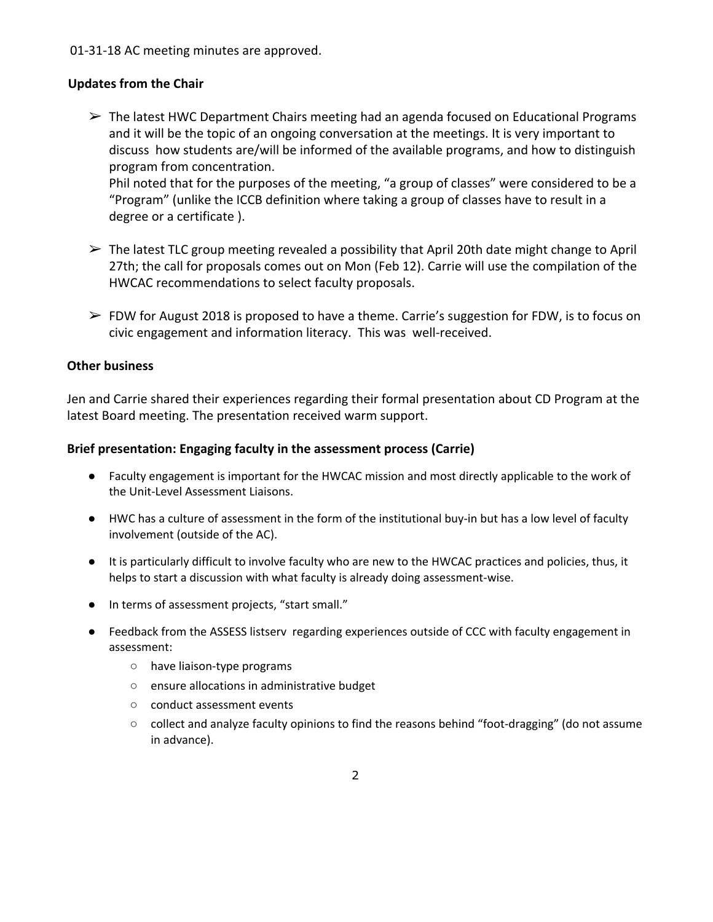01-31-18 AC meeting minutes are approved.

# **Updates from the Chair**

 $\triangleright$  The latest HWC Department Chairs meeting had an agenda focused on Educational Programs and it will be the topic of an ongoing conversation at the meetings. It is very important to discuss how students are/will be informed of the available programs, and how to distinguish program from concentration. Phil noted that for the purposes of the meeting, "a group of classes" were considered to be a

"Program" (unlike the ICCB definition where taking a group of classes have to result in a degree or a certificate ).

- $\triangleright$  The latest TLC group meeting revealed a possibility that April 20th date might change to April 27th; the call for proposals comes out on Mon (Feb 12). Carrie will use the compilation of the HWCAC recommendations to select faculty proposals.
- $\triangleright$  FDW for August 2018 is proposed to have a theme. Carrie's suggestion for FDW, is to focus on civic engagement and information literacy. This was well-received.

## **Other business**

Jen and Carrie shared their experiences regarding their formal presentation about CD Program at the latest Board meeting. The presentation received warm support.

# **Brief presentation: Engaging faculty in the assessment process (Carrie)**

- Faculty engagement is important for the HWCAC mission and most directly applicable to the work of the Unit-Level Assessment Liaisons.
- HWC has a culture of assessment in the form of the institutional buy-in but has a low level of faculty involvement (outside of the AC).
- It is particularly difficult to involve faculty who are new to the HWCAC practices and policies, thus, it helps to start a discussion with what faculty is already doing assessment-wise.
- In terms of assessment projects, "start small."
- Feedback from the ASSESS listserv regarding experiences outside of CCC with faculty engagement in assessment:
	- have liaison-type programs
	- ensure allocations in administrative budget
	- conduct assessment events
	- collect and analyze faculty opinions to find the reasons behind "foot-dragging" (do not assume in advance).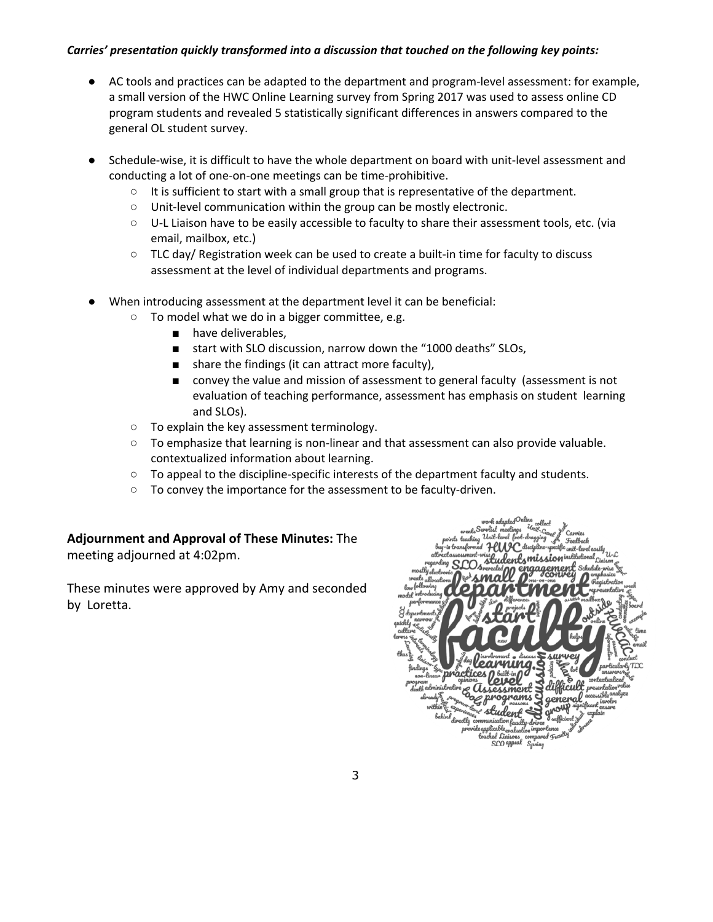#### *Carries' presentation quickly transformed into a discussion that touched on the following key points:*

- AC tools and practices can be adapted to the department and program-level assessment: for example, a small version of the HWC Online Learning survey from Spring 2017 was used to assess online CD program students and revealed 5 statistically significant differences in answers compared to the general OL student survey.
- Schedule-wise, it is difficult to have the whole department on board with unit-level assessment and conducting a lot of one-on-one meetings can be time-prohibitive.
	- $\circ$  It is sufficient to start with a small group that is representative of the department.
	- Unit-level communication within the group can be mostly electronic.
	- U-L Liaison have to be easily accessible to faculty to share their assessment tools, etc. (via email, mailbox, etc.)
	- $\circ$  TLC day/ Registration week can be used to create a built-in time for faculty to discuss assessment at the level of individual departments and programs.
- When introducing assessment at the department level it can be beneficial:
	- To model what we do in a bigger committee, e.g.
		- have deliverables,
		- start with SLO discussion, narrow down the "1000 deaths" SLOs,
		- share the findings (it can attract more faculty),
		- convey the value and mission of assessment to general faculty (assessment is not evaluation of teaching performance, assessment has emphasis on student learning and SLOs).
	- To explain the key assessment terminology.
	- To emphasize that learning is non-linear and that assessment can also provide valuable. contextualized information about learning.
	- To appeal to the discipline-specific interests of the department faculty and students.
	- To convey the importance for the assessment to be faculty-driven.

# **Adjournment and Approval of These Minutes:** The

meeting adjourned at 4:02pm.

These minutes were approved by Amy and seconded by Loretta.

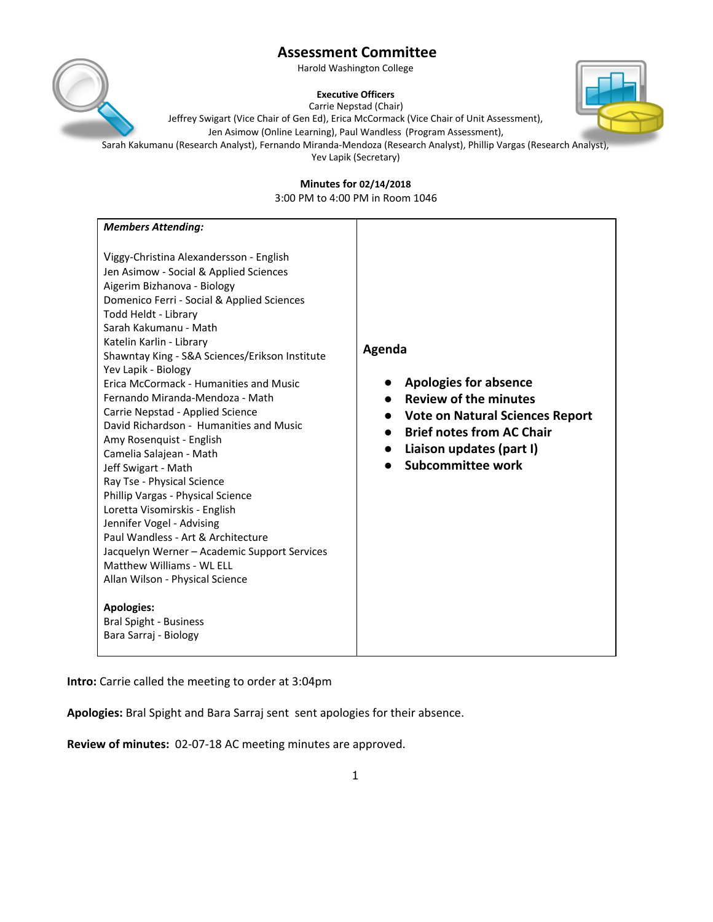Harold Washington College

**Executive Officers**



Carrie Nepstad (Chair) Jeffrey Swigart (Vice Chair of Gen Ed), Erica McCormack (Vice Chair of Unit Assessment), Jen Asimow (Online Learning), Paul Wandless (Program Assessment), Sarah Kakumanu (Research Analyst), Fernando Miranda-Mendoza (Research Analyst), Phillip Vargas (Research Analyst), Yev Lapik (Secretary)

**Minutes for 02/14/2018**

3:00 PM to 4:00 PM in Room 1046

| <b>Members Attending:</b>                                                                                                                                                                                                                                                                                                                                                                                                                                                                                                                                                                                                                                                                                                                                                                                                                                                                                                            |                                                                                                                                                                                                       |
|--------------------------------------------------------------------------------------------------------------------------------------------------------------------------------------------------------------------------------------------------------------------------------------------------------------------------------------------------------------------------------------------------------------------------------------------------------------------------------------------------------------------------------------------------------------------------------------------------------------------------------------------------------------------------------------------------------------------------------------------------------------------------------------------------------------------------------------------------------------------------------------------------------------------------------------|-------------------------------------------------------------------------------------------------------------------------------------------------------------------------------------------------------|
| Viggy-Christina Alexandersson - English<br>Jen Asimow - Social & Applied Sciences<br>Aigerim Bizhanova - Biology<br>Domenico Ferri - Social & Applied Sciences<br>Todd Heldt - Library<br>Sarah Kakumanu - Math<br>Katelin Karlin - Library<br>Shawntay King - S&A Sciences/Erikson Institute<br>Yev Lapik - Biology<br>Erica McCormack - Humanities and Music<br>Fernando Miranda-Mendoza - Math<br>Carrie Nepstad - Applied Science<br>David Richardson - Humanities and Music<br>Amy Rosenquist - English<br>Camelia Salajean - Math<br>Jeff Swigart - Math<br>Ray Tse - Physical Science<br>Phillip Vargas - Physical Science<br>Loretta Visomirskis - English<br>Jennifer Vogel - Advising<br>Paul Wandless - Art & Architecture<br>Jacquelyn Werner - Academic Support Services<br>Matthew Williams - WL ELL<br>Allan Wilson - Physical Science<br><b>Apologies:</b><br><b>Bral Spight - Business</b><br>Bara Sarraj - Biology | Agenda<br><b>Apologies for absence</b><br><b>Review of the minutes</b><br><b>Vote on Natural Sciences Report</b><br><b>Brief notes from AC Chair</b><br>Liaison updates (part I)<br>Subcommittee work |

**Intro:** Carrie called the meeting to order at 3:04pm

**Apologies:** Bral Spight and Bara Sarraj sent sent apologies for their absence.

**Review of minutes:** 02-07-18 AC meeting minutes are approved.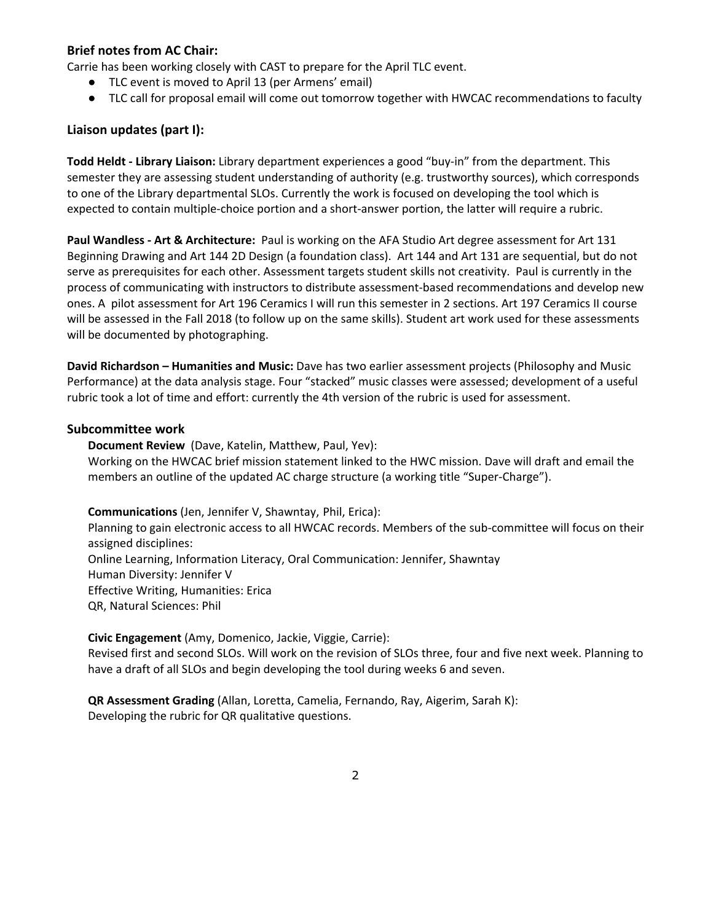#### **Brief notes from AC Chair:**

Carrie has been working closely with CAST to prepare for the April TLC event.

- TLC event is moved to April 13 (per Armens' email)
- TLC call for proposal email will come out tomorrow together with HWCAC recommendations to faculty

#### **Liaison updates (part I):**

**Todd Heldt - Library Liaison:** Library department experiences a good "buy-in" from the department. This semester they are assessing student understanding of authority (e.g. trustworthy sources), which corresponds to one of the Library departmental SLOs. Currently the work is focused on developing the tool which is expected to contain multiple-choice portion and a short-answer portion, the latter will require a rubric.

**Paul Wandless - Art & Architecture:** Paul is working on the AFA Studio Art degree assessment for Art 131 Beginning Drawing and Art 144 2D Design (a foundation class). Art 144 and Art 131 are sequential, but do not serve as prerequisites for each other. Assessment targets student skills not creativity. Paul is currently in the process of communicating with instructors to distribute assessment-based recommendations and develop new ones. A pilot assessment for Art 196 Ceramics I will run this semester in 2 sections. Art 197 Ceramics II course will be assessed in the Fall 2018 (to follow up on the same skills). Student art work used for these assessments will be documented by photographing.

**David Richardson – Humanities and Music:** Dave has two earlier assessment projects (Philosophy and Music Performance) at the data analysis stage. Four "stacked" music classes were assessed; development of a useful rubric took a lot of time and effort: currently the 4th version of the rubric is used for assessment.

#### **Subcommittee work**

**Document Review** (Dave, Katelin, Matthew, Paul, Yev): Working on the HWCAC brief mission statement linked to the HWC mission. Dave will draft and email the members an outline of the updated AC charge structure (a working title "Super-Charge").

#### **Communications** (Jen, Jennifer V, Shawntay, Phil, Erica):

Planning to gain electronic access to all HWCAC records. Members of the sub-committee will focus on their assigned disciplines:

Online Learning, Information Literacy, Oral Communication: Jennifer, Shawntay

Human Diversity: Jennifer V

Effective Writing, Humanities: Erica

QR, Natural Sciences: Phil

#### **Civic Engagement** (Amy, Domenico, Jackie, Viggie, Carrie):

Revised first and second SLOs. Will work on the revision of SLOs three, four and five next week. Planning to have a draft of all SLOs and begin developing the tool during weeks 6 and seven.

**QR Assessment Grading** (Allan, Loretta, Camelia, Fernando, Ray, Aigerim, Sarah K): Developing the rubric for QR qualitative questions.